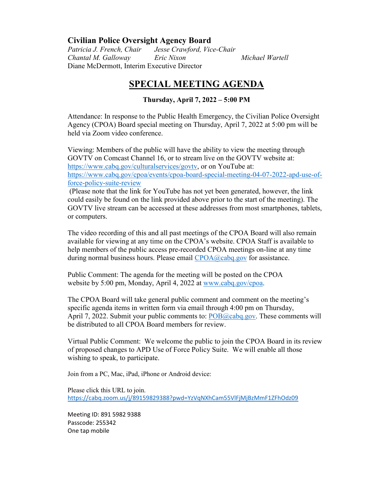## **Civilian Police Oversight Agency Board**

*Patricia J. French, Chair Jesse Crawford, Vice-Chair Chantal M. Galloway Eric Nixon Michael Wartell* Diane McDermott, Interim Executive Director

## **SPECIAL MEETING AGENDA**

## **Thursday, April 7, 2022 – 5:00 PM**

Attendance: In response to the Public Health Emergency, the Civilian Police Oversight Agency (CPOA) Board special meeting on Thursday, April 7, 2022 at 5:00 pm will be held via Zoom video conference.

Viewing: Members of the public will have the ability to view the meeting through GOVTV on Comcast Channel 16, or to stream live on the GOVTV website at: [https://www.cabq.gov/culturalservices/govtv,](https://www.cabq.gov/culturalservices/govtv) or on YouTube at: [https://www.cabq.gov/cpoa/events/cpoa-board-special-meeting-04-07-2022-apd-use-of](https://www.cabq.gov/cpoa/events/cpoa-board-special-meeting-04-07-2022-apd-use-of-force-policy-suite-review)[force-policy-suite-review](https://www.cabq.gov/cpoa/events/cpoa-board-special-meeting-04-07-2022-apd-use-of-force-policy-suite-review)

(Please note that the link for YouTube has not yet been generated, however, the link could easily be found on the link provided above prior to the start of the meeting). The GOVTV live stream can be accessed at these addresses from most smartphones, tablets, or computers.

The video recording of this and all past meetings of the CPOA Board will also remain available for viewing at any time on the CPOA's website. CPOA Staff is available to help members of the public access pre-recorded CPOA meetings on-line at any time during normal business hours. Please email  $CPOA@cabq.gov$  for assistance.

Public Comment: The agenda for the meeting will be posted on the CPOA website by 5:00 pm, Monday, April 4, 2022 at [www.cabq.gov/cpoa.](http://www.cabq.gov/cpoa)

The CPOA Board will take general public comment and comment on the meeting's specific agenda items in written form via email through 4:00 pm on Thursday, April 7, 2022. Submit your public comments to:  $POB@cabq.gov$ . These comments will be distributed to all CPOA Board members for review.

Virtual Public Comment: We welcome the public to join the CPOA Board in its review of proposed changes to APD Use of Force Policy Suite. We will enable all those wishing to speak, to participate.

Join from a PC, Mac, iPad, iPhone or Android device:

Please click this URL to join. <https://cabq.zoom.us/j/89159829388?pwd=YzVqNXhCam55VlFjMjBzMmF1ZFhOdz09>

Meeting ID: 891 5982 9388 Passcode: 255342 One tap mobile